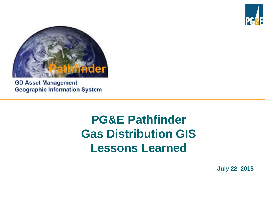



**GD Asset Management Geographic Information System** 

## **PG&E Pathfinder Gas Distribution GIS Lessons Learned**

**July 22, 2015**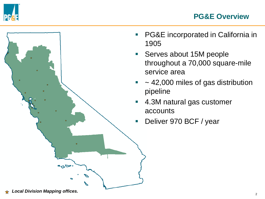





- **PG&E** incorporated in California in 1905
- **Serves about 15M people** throughout a 70,000 square-mile service area
- $\sim$  42,000 miles of gas distribution pipeline
- 4.3M natural gas customer accounts
- Deliver 970 BCF / year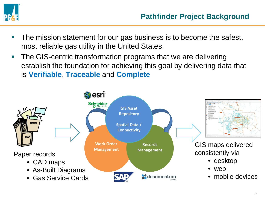

- **The mission statement for our gas business is to become the safest,** most reliable gas utility in the United States.
- **The GIS-centric transformation programs that we are delivering** establish the foundation for achieving this goal by delivering data that is **Verifiable**, **Traceable** and **Complete**

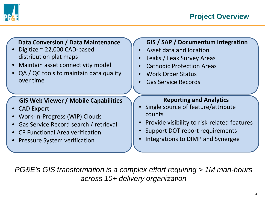

#### **Data Conversion / Data Maintenance**

- Digitize ~ 22,000 CAD-based distribution plat maps
- Maintain asset connectivity model
- QA / QC tools to maintain data quality over time

#### **GIS Web Viewer / Mobile Capabilities**

- CAD Export
- Work-In-Progress (WIP) Clouds
- Gas Service Record search / retrieval
- CP Functional Area verification
- Pressure System verification

#### **GIS / SAP / Documentum Integration**

- Asset data and location
- Leaks / Leak Survey Areas
- Cathodic Protection Areas
- Work Order Status
- Gas Service Records

#### **Reporting and Analytics**

- Single source of feature/attribute counts
- Provide visibility to risk-related features
- Support DOT report requirements
- Integrations to DIMP and Synergee

*PG&E's GIS transformation is a complex effort requiring > 1M man-hours across 10+ delivery organization*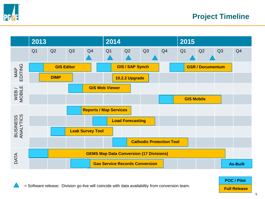



5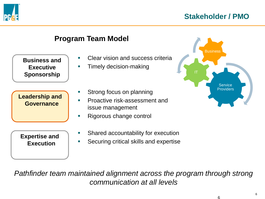



*Pathfinder team maintained alignment across the program through strong communication at all levels*

6

6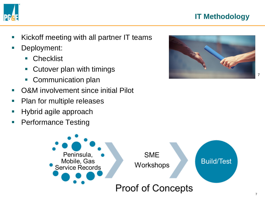

## **IT Methodology**

- **Kickoff meeting with all partner IT teams**
- **Deployment:** 
	- Checklist
	- Cutover plan with timings
	- Communication plan
- O&M involvement since initial Pilot
- **Plan for multiple releases**
- **Hybrid agile approach**
- **Performance Testing**



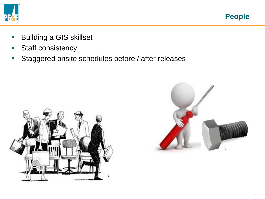

**People**

- **Building a GIS skillset**
- Staff consistency
- **Staggered onsite schedules before / after releases**



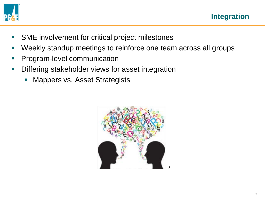

- **SME** involvement for critical project milestones
- Weekly standup meetings to reinforce one team across all groups
- **Program-level communication**
- **Differing stakeholder views for asset integration** 
	- **Mappers vs. Asset Strategists**

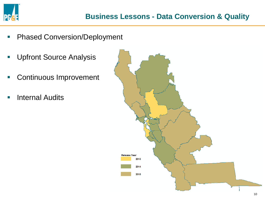

- **-** Phased Conversion/Deployment
- **Upfront Source Analysis**
- **Continuous Improvement**
- **Internal Audits**

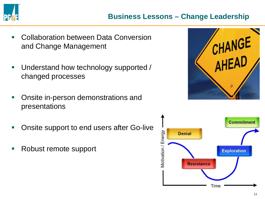

- **E.** Collaboration between Data Conversion and Change Management
- **Understand how technology supported /** changed processes
- **Onsite in-person demonstrations and** presentations
- **Onsite support to end users after Go-live**
- Robust remote support



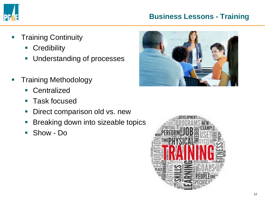

### **Business Lessons - Training**

- **Training Continuity** 
	- **Credibility**
	- **Understanding of processes**
- **Training Methodology** 
	- **Centralized**
	- Task focused
	- **-** Direct comparison old vs. new
	- **Breaking down into sizeable topics**
	- Show Do



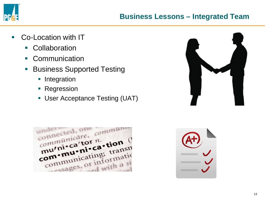

- **Co-Location with IT** 
	- **Collaboration**
	- **Communication**
	- **Business Supported Testing** 
		- **Integration**
		- **Regression**
		- User Acceptance Testing (UAT)